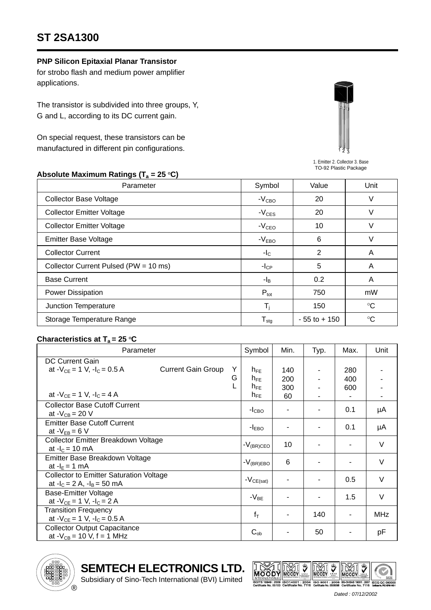# **ST 2SA1300**

### **PNP Silicon Epitaxial Planar Transistor**

for strobo flash and medium power amplifier applications.

The transistor is subdivided into three groups, Y, G and L, according to its DC current gain.

On special request, these transistors can be manufactured in different pin configurations.



1. Emitter 2. Collector 3. Base TO-92 Plastic Package

#### Absolute Maximum Ratings (T<sub>a</sub> = 25 °C)

| Parameter                             | Symbol                       | Value           | Unit        |  |
|---------------------------------------|------------------------------|-----------------|-------------|--|
| <b>Collector Base Voltage</b>         | $-VCBO$                      | 20              | V           |  |
| <b>Collector Emitter Voltage</b>      | $-V_{CES}$                   | 20              | V           |  |
| <b>Collector Emitter Voltage</b>      | $-VCEO$                      | 10              | V           |  |
| <b>Emitter Base Voltage</b>           | $-VEBO$                      | 6               | V           |  |
| <b>Collector Current</b>              | $-I_{\rm C}$                 | $\overline{2}$  | A           |  |
| Collector Current Pulsed (PW = 10 ms) | $-I_{CP}$                    | 5               | A           |  |
| <b>Base Current</b>                   | $- I_B$                      | 0.2             | A           |  |
| Power Dissipation                     | $P_{\text{tot}}$             | 750             | mW          |  |
| Junction Temperature                  | T,                           | 150             | $^{\circ}C$ |  |
| Storage Temperature Range             | ${\mathsf T}_{\textsf{stg}}$ | $-55$ to $+150$ | $^{\circ}C$ |  |

#### **Characteristics at T<sub>a</sub> = 25 °C**

| Parameter                                      |                           | Symbol | Min.                | Typ. | Max.           | Unit |            |
|------------------------------------------------|---------------------------|--------|---------------------|------|----------------|------|------------|
| <b>DC Current Gain</b>                         |                           |        |                     |      |                |      |            |
| at $-V_{CF} = 1$ V, $-I_C = 0.5$ A             | <b>Current Gain Group</b> | Y      | $h_{FE}$            | 140  |                | 280  |            |
|                                                |                           | G      | $h_{FE}$            | 200  |                | 400  |            |
|                                                |                           |        | $n_{FE}$            | 300  |                | 600  |            |
| at $-V_{CF} = 1 V$ , $-I_C = 4 A$              |                           |        | $h_{FE}$            | 60   |                |      |            |
| <b>Collector Base Cutoff Current</b>           |                           |        |                     |      |                | 0.1  | μA         |
| at $-V_{CB} = 20 V$                            |                           |        | $-ICBO$             |      |                |      |            |
| <b>Emitter Base Cutoff Current</b>             |                           |        |                     |      |                | 0.1  |            |
| at $-V_{EB} = 6 V$                             |                           |        | $-IEBO$             |      |                |      | μA         |
| Collector Emitter Breakdown Voltage            |                           |        |                     | 10   |                |      | $\vee$     |
| at $-I_c = 10$ mA                              |                           |        | $-V_{\rm (BR)CEO}$  |      |                |      |            |
| Emitter Base Breakdown Voltage                 |                           |        | $-V_{\rm (BR) EBO}$ | 6    |                |      | $\vee$     |
| at $-IE = 1$ mA                                |                           |        |                     |      |                |      |            |
| <b>Collector to Emitter Saturation Voltage</b> |                           |        | $-V_{CE(sat)}$      |      | $\blacksquare$ | 0.5  | V          |
| at $-I_c = 2 A$ , $-I_B = 50 mA$               |                           |        |                     |      |                |      |            |
| Base-Emitter Voltage                           |                           |        | $-V_{BE}$           |      | ۰              | 1.5  | $\vee$     |
| at $-V_{CE} = 1 V$ , $-I_C = 2 A$              |                           |        |                     |      |                |      |            |
| <b>Transition Frequency</b>                    |                           |        | $f_T$               |      | 140            |      | <b>MHz</b> |
| at $-V_{CE} = 1$ V, $-I_C = 0.5$ A             |                           |        |                     |      |                |      |            |
| <b>Collector Output Capacitance</b>            |                           |        | $C_{ob}$            |      | 50             |      | рF         |
| at $-V_{CB} = 10 V$ , f = 1 MHz                |                           |        |                     |      |                |      |            |



**SEMTECH ELECTRONICS LTD.**

Subsidiary of Sino-Tech International (BVI) Limited